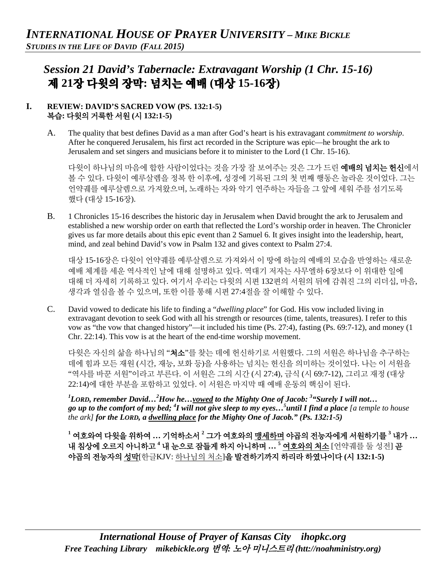# *Session 21 David's Tabernacle: Extravagant Worship (1 Chr. 15-16)*  제 **21**장 다윗의 장막**:** 넘치는 예배 **(**대상 **15-16**장**)**

#### **I. REVIEW: DAVID'S SACRED VOW (PS. 132:1-5)**  복습**:** 다윗의 거룩한 서원 **(**시 **132:1-5)**

A. The quality that best defines David as a man after God's heart is his extravagant *commitment to worship*. After he conquered Jerusalem, his first act recorded in the Scripture was epic—he brought the ark to Jerusalem and set singers and musicians before it to minister to the Lord (1 Chr. 15-16).

다윗이 하나님의 마음에 합한 사람이었다는 것을 가장 잘 보여주는 것은 그가 드린 **예배의 넘치는 헌신**에서 볼 수 있다. 다윗이 예루살렘을 정복 한 이후에, 성경에 기록된 그의 첫 번째 행동은 놀라운 것이었다. 그는 언약궤를 예루살렘으로 가져왔으며, 노래하는 자와 악기 연주하는 자들을 그 앞에 세워 주를 섬기도록 했다 (대상 15-16장).

B. 1 Chronicles 15-16 describes the historic day in Jerusalem when David brought the ark to Jerusalem and established a new worship order on earth that reflected the Lord's worship order in heaven. The Chronicler gives us far more details about this epic event than 2 Samuel 6. It gives insight into the leadership, heart, mind, and zeal behind David's vow in Psalm 132 and gives context to Psalm 27:4.

대상 15-16장은 다윗이 언약궤를 예루살렘으로 가져와서 이 땅에 하늘의 예배의 모습을 반영하는 새로운 예배 체계를 세운 역사적인 날에 대해 설명하고 있다. 역대기 저자는 사무엘하 6장보다 이 위대한 일에 대해 더 자세히 기록하고 있다. 여기서 우리는 다윗의 시편 132편의 서원의 뒤에 감춰진 그의 리더십, 마음, 생각과 열심을 볼 수 있으며, 또한 이를 통해 시편 27:4절을 잘 이해할 수 있다.

C. David vowed to dedicate his life to finding a "*dwelling place*" for God. His vow included living in extravagant devotion to seek God with all his strength or resources (time, talents, treasures). I refer to this vow as "the vow that changed history"—it included his time (Ps. 27:4), fasting (Ps. 69:7-12), and money (1 Chr. 22:14). This vow is at the heart of the end-time worship movement.

다윗은 자신의 삶을 하나님의 "처소"를 찾는 데에 헌신하기로 서원했다. 그의 서원은 하나님을 추구하는 데에 힘과 모든 재원 (시간, 재능, 보화 등)을 사용하는 넘치는 헌신을 의미하는 것이었다. 나는 이 서원을 "역사를 바꾼 서원"이라고 부른다. 이 서원은 그의 시간 (시 27:4), 금식 (시 69:7-12), 그리고 재정 (대상 22:14)에 대한 부분을 포함하고 있었다. 이 서원은 마지막 때 예배 운동의 핵심이 된다.

*1 LORD, remember David…2 How he…vowed to the Mighty One of Jacob: 3 "Surely I will not…* go up to the comfort of my bed; <sup>4</sup>I will not give sleep to my eyes...<sup>5</sup> until I find a place [a temple to house *the ark] for the LORD, a dwelling place for the Mighty One of Jacob." (Ps. 132:1-5)*

**<sup>1</sup>** 여호와여 다윗을 위하여 **…** 기억하소서 **<sup>2</sup>** 그가 여호와의 맹세하며 야곱의 전능자에게 서원하기를 **<sup>3</sup>** 내가 **…** 내 침상에 오르지 아니하고 **<sup>4</sup>** 내 눈으로 잠들게 하지 아니하며 **… <sup>5</sup>** 여호와의 처소 [언약궤를 둘 성전] 곧 야곱의 전능자의 성막[한글KJV: 하나님의 처소]을 발견하기까지 하리라 하였나이다 **(**시 **132:1-5)**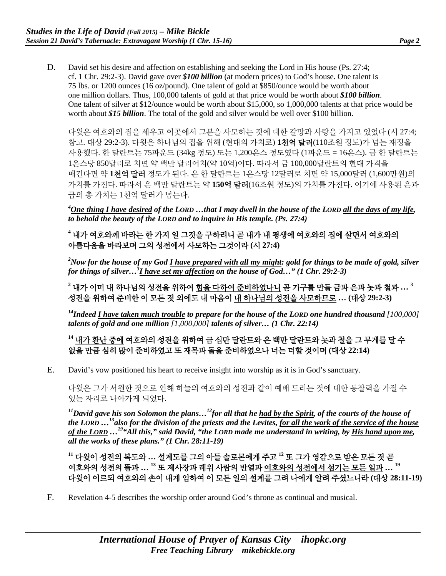D. David set his desire and affection on establishing and seeking the Lord in His house (Ps. 27:4; cf. 1 Chr. 29:2-3). David gave over *\$100 billion* (at modern prices) to God's house. One talent is 75 lbs. or 1200 ounces (16 oz/pound). One talent of gold at \$850/ounce would be worth about one million dollars. Thus, 100,000 talents of gold at that price would be worth about *\$100 billion*. One talent of silver at \$12/ounce would be worth about \$15,000, so 1,000,000 talents at that price would be worth about *\$15 billion*. The total of the gold and silver would be well over \$100 billion.

다윗은 여호와의 집을 세우고 이곳에서 그분을 사모하는 것에 대한 갈망과 사랑을 가지고 있었다 (시 27:4; 참고. 대상 29:2-3). 다윗은 하나님의 집을 위해 (현대의 가치로) **1**천억 달러(110조원 정도)가 넘는 재정을 사용했다. 한 달란트는 75파운드 (34kg 정도) 또는 1,200온스 정도였다 (1파운드 = 16온스). 금 한 달란트는 1온스당 850달러로 치면 약 백만 달러어치(약 10억)이다. 따라서 금 100,000달란트의 현대 가격을 매긴다면 약 **1**천억 달러 정도가 된다. 은 한 달란트는 1온스당 12달러로 치면 약 15,000달러 (1,600만원)의 가치를 가진다. 따라서 은 백만 달란트는 약 **150**억 달러(16조원 정도)의 가치를 가진다. 여기에 사용된 은과 금의 총 가치는 1천억 달러가 넘는다.

*4 One thing I have desired of the LORD …that I may dwell in the house of the LORD all the days of my life, to behold the beauty of the LORD and to inquire in His temple. (Ps. 27:4)*

**<sup>4</sup>** 내가 여호와께 바라는 한 가지 일 그것을 구하리니 곧 내가 내 평생에 여호와의 집에 살면서 여호와의 아름다움을 바라보며 그의 성전에서 사모하는 그것이라 **(**시 **27:4)**

*2 Now for the house of my God I have prepared with all my might: gold for things to be made of gold, silver for things of silver…3 I have set my affection on the house of God…" (1 Chr. 29:2-3)*

**<sup>2</sup>** 내가 이미 내 하나님의 성전을 위하여 힘을 다하여 준비하였나니 곧 기구를 만들 금과 은과 놋과 철과 **… <sup>3</sup>** 성전을 위하여 준비한 이 모든 것 외에도 내 마음이 내 하나님의 성전을 사모하므로 **… (**대상 **29:2-3)**

*14Indeed I have taken much trouble to prepare for the house of the LORD one hundred thousand [100,000] talents of gold and one million [1,000,000] talents of silver… (1 Chr. 22:14)*

**<sup>14</sup>** 내가 환난 중에 여호와의 성전을 위하여 금 십만 달란트와 은 백만 달란트와 놋과 철을 그 무게를 달 수 없을 만큼 심히 많이 준비하였고 또 재목과 돌을 준비하였으나 너는 더할 것이며 **(**대상 **22:14)**

E. David's vow positioned his heart to receive insight into worship as it is in God's sanctuary.

다윗은 그가 서원한 것으로 인해 하늘의 여호와의 성전과 같이 예배 드리는 것에 대한 통찰력을 가질 수 있는 자리로 나아가게 되었다.

*11David gave his son Solomon the plans…12for all that he had by the Spirit, of the courts of the house of the LORD …13also for the division of the priests and the Levites, for all the work of the service of the house of the LORD …19"All this," said David, "the LORD made me understand in writing, by His hand upon me, all the works of these plans." (1 Chr. 28:11-19)* 

**<sup>11</sup>** 다윗이 성전의 복도와 **…** 설계도를 그의 아들 솔로몬에게 주고 **<sup>12</sup>** 또 그가 영감으로 받은 모든 것 곧 여호와의 성전의 뜰과 **… <sup>13</sup>** 또 제사장과 레위 사람의 반열과 여호와의 성전에서 섬기는 모든 일과 **… <sup>19</sup>** 다윗이 이르되 여호와의 손이 내게 임하여 이 모든 일의 설계를 그려 나에게 알려 주셨느니라 **(**대상 **28:11-19)**

F. Revelation 4-5 describes the worship order around God's throne as continual and musical.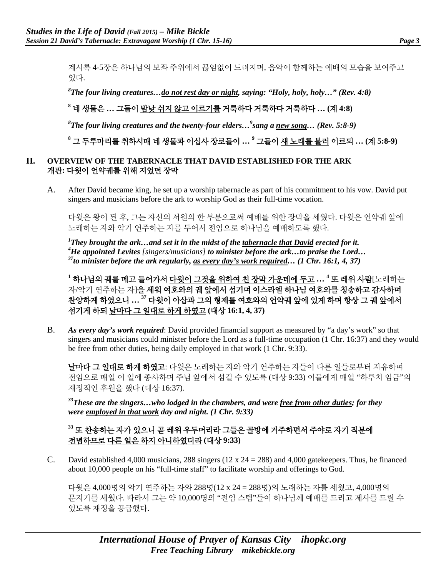계시록 4-5장은 하나님의 보좌 주위에서 끊임없이 드려지며, 음악이 함께하는 예배의 모습을 보여주고 있다.

*8 The four living creatures…do not rest day or night, saying: "Holy, holy, holy…" (Rev. 4:8)* 

# **<sup>8</sup>** 네 생물은 **…** 그들이 밤낮 쉬지 않고 이르기를 거룩하다 거룩하다 거룩하다 **… (**계 **4:8)**

*8 The four living creatures and the twenty-four elders…<sup>9</sup> sang a new song… (Rev. 5:8-9)* 

**<sup>8</sup>** 그 두루마리를 취하시매 네 생물과 이십사 장로들이 **… <sup>9</sup>** 그들이 새 노래를 불러 이르되 **… (**계 **5:8-9)**

#### **II. OVERVIEW OF THE TABERNACLE THAT DAVID ESTABLISHED FOR THE ARK**  개관**:** 다윗이 언약궤를 위해 지었던 장막

A. After David became king, he set up a worship tabernacle as part of his commitment to his vow. David put singers and musicians before the ark to worship God as their full-time vocation.

다윗은 왕이 된 후, 그는 자신의 서원의 한 부분으로써 예배를 위한 장막을 세웠다. 다윗은 언약궤 앞에 노래하는 자와 악기 연주하는 자를 두어서 전임으로 하나님을 예배하도록 했다.

*1 They brought the ark…and set it in the midst of the tabernacle that David erected for it. 4 He appointed Levites [singers/musicians] to minister before the ark…to praise the Lord… 37to minister before the ark regularly, as every day's work required… (1 Chr. 16:1, 4, 37)*

**<sup>1</sup>** 하나님의 궤를 메고 들어가서 다윗이 그것을 위하여 친 장막 가운데에 두고 **… 4** 또 레위 사람[노래하는 자/악기 연주하는 자]을 세워 여호와의 궤 앞에서 섬기며 이스라엘 하나님 여호와를 칭송하고 감사하며 찬양하게 하였으니 **… 37** 다윗이 아삽과 그의 형제를 여호와의 언약궤 앞에 있게 하며 항상 그 궤 앞에서 섬기게 하되 날마다 그 일대로 하게 하였고 **(**대상 **16:1, 4, 37)**

B. *As every day's work required*: David provided financial support as measured by "a day's work" so that singers and musicians could minister before the Lord as a full-time occupation (1 Chr. 16:37) and they would be free from other duties, being daily employed in that work (1 Chr. 9:33).

날마다 그 일대로 하게 하였고: 다윗은 노래하는 자와 악기 연주하는 자들이 다른 일들로부터 자유하며 전임으로 매일 이 일에 종사하며 주님 앞에서 섬길 수 있도록 (대상 9:33) 이들에게 매일 "하루치 임금"의 재정적인 후원을 했다 (대상 16:37).

*33These are the singers…who lodged in the chambers, and were free from other duties; for they were employed in that work day and night. (1 Chr. 9:33)* 

### **<sup>33</sup>** 또 찬송하는 자가 있으니 곧 레위 우두머리라 그들은 골방에 거주하면서 주야로 자기 직분에 전념하므로 다른 일은 하지 아니하였더라 **(**대상 **9:33)**

C. David established 4,000 musicians, 288 singers ( $12 \times 24 = 288$ ) and 4,000 gatekeepers. Thus, he financed about 10,000 people on his "full-time staff" to facilitate worship and offerings to God.

다윗은 4,000명의 악기 연주하는 자와 288명(12 x 24 = 288명)의 노래하는 자를 세웠고, 4,000명의 문지기를 세웠다. 따라서 그는 약 10,000명의 "전임 스텝"들이 하나님께 예배를 드리고 제사를 드릴 수 있도록 재정을 공급했다.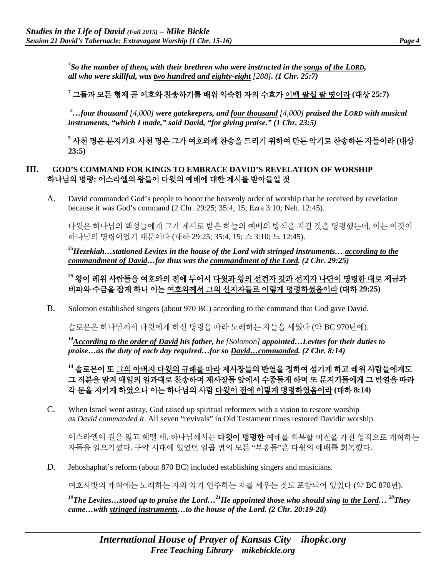*7 So the number of them, with their brethren who were instructed in the songs of the LORD, all who were skillful, was two hundred and eighty-eight [288]. (1 Chr. 25:7)*

# **<sup>7</sup>** 그들과 모든 형제 곧 여호와 찬송하기를 배워 익숙한 자의 수효가 이백 팔십 팔 명이라 **(**대상 **25:7)**

*5 …four thousand [4,000] were gatekeepers, and four thousand [4,000] praised the LORD with musical instruments, "which I made," said David, "for giving praise." (1 Chr. 23:5)*

**<sup>5</sup>** 사천 명은 문지기요 사천 명은 그가 여호와께 찬송을 드리기 위하여 만든 악기로 찬송하든 자들이라 **(**대상 **23:5)**

#### **III. GOD'S COMMAND FOR KINGS TO EMBRACE DAVID'S REVELATION OF WORSHIP**  하나님의 명령**:** 이스라엘의 왕들이 다윗의 예배에 대한 계시를 받아들일 것

A. David commanded God's people to honor the heavenly order of worship that he received by revelation because it was God's command (2 Chr. 29:25; 35:4, 15; Ezra 3:10; Neh. 12:45).

다윗은 하나님의 백성들에게 그가 계시로 받은 하늘의 예배의 방식을 지킬 것을 명령했는데, 이는 이것이 하나님의 명령이었기 때문이다 (대하 29:25; 35:4, 15; 스 3:10; 느 12:45).

**<sup>25</sup>***Hezekiah…stationed Levites in the house of the Lord with stringed instruments… according to the commandment of David…for thus was the commandment of the Lord. (2 Chr. 29:25)* 

**<sup>25</sup>** 왕이 레위 사람들을 여호와의 전에 두어서 다윗과 왕의 선견자 갓과 선지자 나단이 명령한 대로 제금과 비파와 수금을 잡게 하니 이는 여호와께서 그의 선지자들로 이렇게 명령하셨음이라 **(**대하 **29:25)**

B. Solomon established singers (about 970 BC) according to the command that God gave David.

솔로몬은 하나님께서 다윗에게 하신 명령을 따라 노래하는 자들을 세웠다 (약 BC 970년에).

*14According to the order of David his father, he [Solomon] appointed…Levites for their duties to praise…as the duty of each day required…for so David…commanded. (2 Chr. 8:14)* 

**<sup>14</sup>** 솔로몬이 또 그의 아버지 다윗의 규례를 따라 제사장들의 반열을 정하여 섬기게 하고 레위 사람들에게도 그 직분을 맡겨 매일의 일과대로 찬송하며 제사장들 앞에서 수종들게 하며 또 문지기들에게 그 반열을 따라 각 문을 지키게 하였으니 이는 하나님의 사람 다윗이 전에 이렇게 명령하였음이라 **(**대하 **8:14)**

C. When Israel went astray, God raised up spiritual reformers with a vision to restore worship *as David commanded it*. All seven "revivals" in Old Testament times restored Davidic worship.

이스라엘이 길을 잃고 헤맬 때, 하나님께서는 **다윗이 명령한** 예배를 회복할 비전을 가진 영적으로 개혁하는 자들을 일으키셨다. 구약 시대에 있었던 일곱 번의 모든 "부흥들"은 다윗의 예배를 회복했다.

D. Jehoshaphat's reform (about 870 BC) included establishing singers and musicians.

여호사밧의 개혁에는 노래하는 자와 악기 연주하는 자를 세우는 것도 포함되어 있었다 (약 BC 870년).

<sup>19</sup>The Levites…stood up to praise the Lord…<sup>21</sup>He appointed those who should sing <u>to the Lord</u>… <sup>28</sup>They *came…with stringed instruments…to the house of the Lord. (2 Chr. 20:19-28)*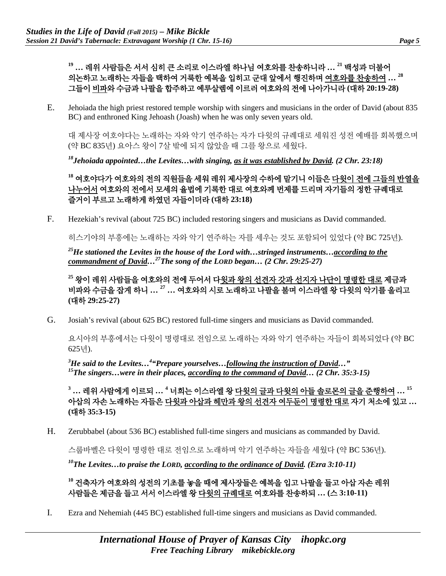# **<sup>19</sup> …** 레위 사람들은 서서 심히 큰 소리로 이스라엘 하나님 여호와를 찬송하니라 **… <sup>21</sup>** 백성과 더불어 의논하고 노래하는 자들을 택하여 거룩한 예복을 입히고 군대 앞에서 행진하며 여호와를 찬송하여 **… 28** 그들이 비파와 수금과 나팔을 합주하고 예루살렘에 이르러 여호와의 전에 나아가니라 **(**대하 **20:19-28)**

E. Jehoiada the high priest restored temple worship with singers and musicians in the order of David (about 835 BC) and enthroned King Jehoash (Joash) when he was only seven years old.

대 제사장 여호야다는 노래하는 자와 악기 연주하는 자가 다윗의 규례대로 세워진 성전 예배를 회복했으며 (약 BC 835년) 요아스 왕이 7살 밖에 되지 않았을 때 그를 왕으로 세웠다.

*18Jehoiada appointed…the Levites…with singing, as it was established by David. (2 Chr. 23:18)* 

**<sup>18</sup>** 여호야다가 여호와의 전의 직원들을 세워 레위 제사장의 수하에 맡기니 이들은 다윗이 전에 그들의 반열을 나누어서 여호와의 전에서 모세의 율법에 기록한 대로 여호와께 번제를 드리며 자기들의 정한 규례대로 즐거이 부르고 노래하게 하였던 자들이더라 **(**대하 **23:18)**

F. Hezekiah's revival (about 725 BC) included restoring singers and musicians as David commanded.

히스기야의 부흥에는 노래하는 자와 악기 연주하는 자를 세우는 것도 포함되어 있었다 (약 BC 725년).

*25He stationed the Levites in the house of the Lord with…stringed instruments…according to the commandment of David…27The song of the LORD began… (2 Chr. 29:25-27)* 

**<sup>25</sup>** 왕이 레위 사람들을 여호와의 전에 두어서 다윗과 왕의 선견자 갓과 선지자 나단이 명령한 대로 제금과 비파와 수금을 잡게 하니 **… <sup>27</sup> …** 여호와의 시로 노래하고 나팔을 불며 이스라엘 왕 다윗의 악기를 울리고 **(**대하 **29:25-27)**

G. Josiah's revival (about 625 BC) restored full-time singers and musicians as David commanded.

요시아의 부흥에서는 다윗이 명령대로 전임으로 노래하는 자와 악기 연주하는 자들이 회복되었다 (약 BC 625년).

<sup>3</sup>He said to the Levites...<sup>4</sup> *Prepare yourselves...<u>following the instruction of David</u>...*" *15The singers…were in their places, according to the command of David… (2 Chr. 35:3-15)* 

**<sup>3</sup> …** 레위 사람에게 이르되 **… <sup>4</sup>** 너희는 이스라엘 왕 다윗의 글과 다윗의 아들 솔로몬의 글을 준행하여 **… 15** 아삽의 자손 노래하는 자들은 다윗과 아삽과 헤만과 왕의 선견자 여두둔이 명령한 대로 자기 처소에 있고 **… (**대하 **35:3-15)**

H. Zerubbabel (about 536 BC) established full-time singers and musicians as commanded by David.

스룹바벨은 다윗이 명령한 대로 전임으로 노래하며 악기 연주하는 자들을 세웠다 (약 BC 536년).

*10The Levites…to praise the LORD, according to the ordinance of David. (Ezra 3:10-11)* 

**<sup>10</sup>** 건축자가 여호와의 성전의 기초를 놓을 때에 제사장들은 예복을 입고 나팔을 들고 아삽 자손 레위 사람들은 제금을 들고 서서 이스라엘 왕 다윗의 규례대로 여호와를 찬송하되 **… (**스 **3:10-11)**

I. Ezra and Nehemiah (445 BC) established full-time singers and musicians as David commanded.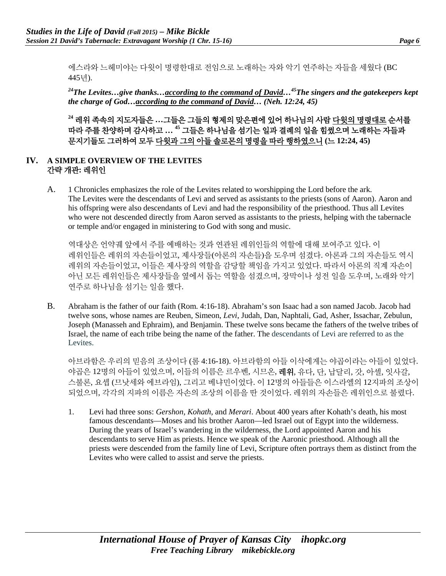에스라와 느헤미야는 다윗이 명령한대로 전임으로 노래하는 자와 악기 연주하는 자들을 세웠다 (BC 445년).

*24The Levites…give thanks…according to the command of David…45The singers and the gatekeepers kept the charge of God…according to the command of David… (Neh. 12:24, 45)*

**<sup>24</sup>** 레위 족속의 지도자들은 **…**그들은 그들의 형제의 맞은편에 있어 하나님의 사람 다윗의 명령대로 순서를 따라 주를 찬양하며 감사하고 **… 45** 그들은 하나님을 섬기는 일과 결례의 일을 힘썼으며 노래하는 자들과 문지기들도 그러하여 모두 다윗과 그의 아들 솔로몬의 명령을 따라 행하였으니 **(**느 **12:24, 45)**

#### **IV. A SIMPLE OVERVIEW OF THE LEVITES**  간략 개관**:** 레위인

A. 1 Chronicles emphasizes the role of the Levites related to worshipping the Lord before the ark. The Levites were the descendants of Levi and served as assistants to the priests (sons of Aaron). Aaron and his offspring were also descendants of Levi and had the responsibility of the priesthood. Thus all Levites who were not descended directly from Aaron served as assistants to the priests, helping with the tabernacle or temple and/or engaged in ministering to God with song and music.

역대상은 언약궤 앞에서 주를 예배하는 것과 연관된 레위인들의 역할에 대해 보여주고 있다. 이 레위인들은 레위의 자손들이었고, 제사장들(아론의 자손들)을 도우며 섬겼다. 아론과 그의 자손들도 역시 레위의 자손들이었고, 이들은 제사장의 역할을 감당할 책임을 가지고 있었다. 따라서 아론의 직계 자손이 아닌 모든 레위인들은 제사장들을 옆에서 돕는 역할을 섬겼으며, 장막이나 성전 일을 도우며, 노래와 악기 연주로 하나님을 섬기는 일을 했다.

B. Abraham is the father of our faith (Rom. 4:16-18). Abraham's son Isaac had a son named Jacob. Jacob had twelve sons, whose names are Reuben, Simeon, *Levi*, Judah, Dan, Naphtali, Gad, Asher, Issachar, Zebulun, Joseph [\(Manasseh](http://www.conservapedia.com/Manasseh) and [Ephraim\)](http://www.conservapedia.com/Ephraim), and Benjamin. These twelve sons became the fathers of the twelve tribes of Israel, the name of each tribe being the name of the father. The descendants of Levi are referred to as the Levites.

아브라함은 우리의 믿음의 조상이다 (롬 4:16-18). 아브라함의 아들 이삭에게는 야곱이라는 아들이 있었다. 야곱은 12명의 아들이 있었으며, 이들의 이름은 르우벤, 시므온, 레위, 유다, 단, 납달리, 갓, 아셀, 잇사갈, 스불론, 요셉 (므낫세와 에브라임), 그리고 베냐민이었다. 이 12명의 아들들은 이스라엘의 12지파의 조상이 되었으며, 각각의 지파의 이름은 자손의 조상의 이름을 딴 것이었다. 레위의 자손들은 레위인으로 불렸다.

1. Levi had three sons: *Gershon*, *Kohath*, and *Merari*. About 400 years after Kohath's death, his most famous descendants—Moses and his brother Aaron—led Israel out of Egypt into the wilderness. During the years of Israel's wandering in the wilderness, the Lord appointed Aaron and his descendants to serve Him as priests. Hence we speak of the Aaronic priesthood. Although all the priests were descended from the family line of Levi, Scripture often portrays them as distinct from the Levites who were called to assist and serve the priests.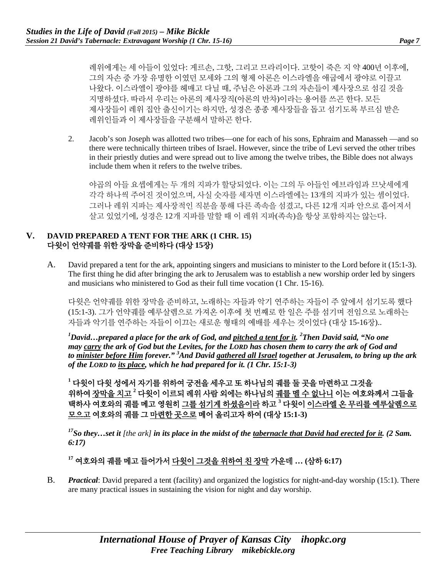레위에게는 세 아들이 있었다: 게르손, 그핫, 그리고 므라리이다. 고핫이 죽은 지 약 400년 이후에, 그의 자손 중 가장 유명한 이였던 모세와 그의 형제 아론은 이스라엘을 애굽에서 광야로 이끌고 나왔다. 이스라엘이 광야를 헤매고 다닐 때, 주님은 아론과 그의 자손들이 제사장으로 섬길 것을 지명하셨다. 따라서 우리는 아론의 제사장직(아론의 반차)이라는 용어를 쓰곤 한다. 모든 제사장들이 레위 집안 출신이기는 하지만, 성경은 종종 제사장들을 돕고 섬기도록 부르심 받은 레위인들과 이 제사장들을 구분해서 말하곤 한다.

2. Jacob's son Joseph was allotted two tribes—one for each of his sons, Ephraim and Manasseh —and so there were technically thirteen tribes of Israel. However, since the tribe of Levi served the other tribes in their priestly duties and were spread out to live among the twelve tribes, the Bible does not always include them when it refers to the twelve tribes.

야곱의 아들 요셉에게는 두 개의 지파가 할당되었다. 이는 그의 두 아들인 에브라임과 므낫세에게 각각 하나씩 주어진 것이었으며, 사실 숫자를 세자면 이스라엘에는 13개의 지파가 있는 셈이었다. 그러나 레위 지파는 제사장적인 직분을 통해 다른 족속을 섬겼고, 다른 12개 지파 안으로 흩어져서 살고 있었기에, 성경은 12개 지파를 말할 때 이 레위 지파(족속)을 항상 포함하지는 않는다.

#### **V. DAVID PREPARED A TENT FOR THE ARK (1 CHR. 15)**  다윗이 언약궤를 위한 장막을 준비하다 **(**대상 **15**장**)**

A. David prepared a tent for the ark, appointing singers and musicians to minister to the Lord before it (15:1-3). The first thing he did after bringing the ark to Jerusalem was to establish a new worship order led by singers and musicians who ministered to God as their full time vocation (1 Chr. 15-16).

다윗은 언약궤를 위한 장막을 준비하고, 노래하는 자들과 악기 연주하는 자들이 주 앞에서 섬기도록 했다 (15:1-3). 그가 언약궤를 예루살렘으로 가져온 이후에 첫 번째로 한 일은 주를 섬기며 전임으로 노래하는 자들과 악기를 연주하는 자들이 이끄는 새로운 형태의 예배를 세우는 것이었다 (대상 15-16장)..

*1 David…prepared a place for the ark of God, and pitched a tent for it. 2 Then David said, "No one may carry the ark of God but the Levites, for the LORD has chosen them to carry the ark of God and to minister before Him forever." 3 And David gathered all Israel together at Jerusalem, to bring up the ark of the LORD to its place, which he had prepared for it. (1 Chr. 15:1-3)*

**<sup>1</sup>** 다윗이 다윗 성에서 자기를 위하여 궁전을 세우고 또 하나님의 궤를 둘 곳을 마련하고 그것을 위하여 장막을 치고 **<sup>2</sup>** 다윗이 이르되 레위 사람 외에는 하나님의 궤를 멜 수 없나니 이는 여호와께서 그들을 택하사 여호와의 궤를 메고 영원히 그를 섬기게 하셨음이라 하고 **<sup>3</sup>** 다윗이 이스라엘 온 무리를 예루살렘으로 모으고 여호와의 궤를 그 마련한 곳으로 메어 올리고자 하여 **(**대상 **15:1-3)**

*17So they…set it [the ark] in its place in the midst of the tabernacle that David had erected for it. (2 Sam. 6:17)*

**<sup>17</sup>** 여호와의 궤를 메고 들어가서 다윗이 그것을 위하여 친 장막 가운데 **… (**삼하 **6:17)**

B. *Practical*: David prepared a tent (facility) and organized the logistics for night-and-day worship (15:1). There are many practical issues in sustaining the vision for night and day worship.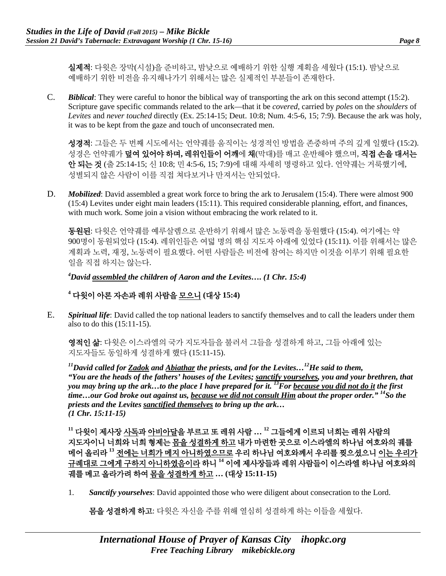실제적: 다윗은 장막(시설)을 준비하고, 밤낮으로 예배하기 위한 실행 계획을 세웠다 (15:1). 밤낮으로 예배하기 위한 비전을 유지해나가기 위해서는 많은 실제적인 부분들이 존재한다.

C. *Biblical*: They were careful to honor the biblical way of transporting the ark on this second attempt (15:2). Scripture gave specific commands related to the ark—that it be *covered*, carried by *poles* on the *shoulders* of *Levites* and *never touched* directly (Ex. 25:14-15; Deut. 10:8; Num. 4:5-6, 15; 7:9). Because the ark was holy, it was to be kept from the gaze and touch of unconsecrated men.

성경적: 그들은 두 번째 시도에서는 언약궤를 움직이는 성경적인 방법을 존중하며 주의 깊게 일했다 (15:2). 성경은 언약궤가 덮여 있어야 하며**,** 레위인들이 어깨에 채(막대)를 매고 운반해야 했으며, 직접 손을 대서는 안 되는 것 (출 25:14-15; 신 10:8; 민 4:5-6, 15; 7:9)에 대해 자세히 명령하고 있다. 언약궤는 거룩했기에, 성별되지 않은 사람이 이를 직접 쳐다보거나 만져서는 안되었다.

D. *Mobilized*: David assembled a great work force to bring the ark to Jerusalem (15:4). There were almost 900 (15:4) Levites under eight main leaders (15:11). This required considerable planning, effort, and finances, with much work. Some join a vision without embracing the work related to it.

동원된: 다윗은 언약궤를 예루살렘으로 운반하기 위해서 많은 노동력을 동원했다 (15:4). 여기에는 약 900명이 동원되었다 (15:4). 레위인들은 여덟 명의 핵심 지도자 아래에 있었다 (15:11). 이를 위해서는 많은 계획과 노력, 재정, 노동력이 필요했다. 어떤 사람들은 비전에 참여는 하지만 이것을 이루기 위해 필요한 일을 직접 하지는 않는다.

*4 David assembled the children of Aaron and the Levites…. (1 Chr. 15:4)*

### **<sup>4</sup>** 다윗이 아론 자손과 레위 사람을 모으니 **(**대상 **15:4)**

E. *Spiritual life*: David called the top national leaders to sanctify themselves and to call the leaders under them also to do this (15:11-15).

영적인 삶: 다윗은 이스라엘의 국가 지도자들을 불러서 그들을 성결하게 하고, 그들 아래에 있는 지도자들도 동일하게 성결하게 했다 (15:11-15).

*11David called for Zadok and Abiathar the priests, and for the Levites…12He said to them, "You are the heads of the fathers' houses of the Levites; sanctify yourselves, you and your brethren, that you may bring up the ark…to the place I have prepared for it.* <sup>13</sup>*For because you did not do it the first time…our God broke out against us, because we did not consult Him about the proper order." 14So the priests and the Levites sanctified themselves to bring up the ark… (1 Chr. 15:11-15)*

**<sup>11</sup>** 다윗이 제사장 사독과 아비아달을 부르고 또 레위 사람 **… <sup>12</sup>** 그들에게 이르되 너희는 레위 사람의 지도자이니 너희와 너희 형제는 몸을 성결하게 하고 내가 마련한 곳으로 이스라엘의 하나님 여호와의 궤를 메어 올리라 **<sup>13</sup>** 전에는 너희가 메지 아니하였으므로 우리 하나님 여호와께서 우리를 찢으셨으니 이는 우리가 규례대로 그에게 구하지 아니하였음이라 하니 **<sup>14</sup>** 이에 제사장들과 레위 사람들이 이스라엘 하나님 여호와의 궤를 메고 올라가려 하여 몸을 성결하게 하고 **… (**대상 **15:11-15)**

1. *Sanctify yourselves*: David appointed those who were diligent about consecration to the Lord.

**몸을 성결하게 하고**: 다윗은 자신을 주를 위해 열심히 성결하게 하는 이들을 세웠다.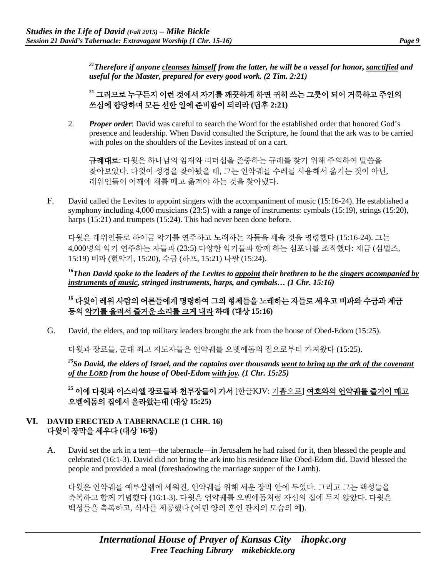*21Therefore if anyone cleanses himself from the latter, he will be a vessel for honor, sanctified and useful for the Master, prepared for every good work. (2 Tim. 2:21)*

**<sup>21</sup>** 그러므로 누구든지 이런 것에서 자기를 깨끗하게 하면 귀히 쓰는 그릇이 되어 거룩하고 주인의 쓰심에 합당하며 모든 선한 일에 준비함이 되리라 **(**딤후 **2:21)**

2. *Proper order*: David was careful to search the Word for the established order that honored God's presence and leadership. When David consulted the Scripture, he found that the ark was to be carried with poles on the shoulders of the Levites instead of on a cart.

규례대로: 다윗은 하나님의 임재와 리더십을 존중하는 규례를 찾기 위해 주의하여 말씀을 찾아보았다. 다윗이 성경을 찾아봤을 때, 그는 언약궤를 수레를 사용해서 옮기는 것이 아닌, 레위인들이 어깨에 채를 메고 옮겨야 하는 것을 찾아냈다.

F. David called the Levites to appoint singers with the accompaniment of music (15:16-24). He established a symphony including 4,000 musicians (23:5) with a range of instruments: cymbals (15:19), strings (15:20), harps (15:21) and trumpets (15:24). This had never been done before.

다윗은 레위인들로 하여금 악기를 연주하고 노래하는 자들을 세울 것을 명령했다 (15:16-24). 그는 4,000명의 악기 연주하는 자들과 (23:5) 다양한 악기들과 함께 하는 심포니를 조직했다: 제금 (심벌즈, 15:19) 비파 (현악기, 15:20), 수금 (하프, 15:21) 나팔 (15:24).

*16Then David spoke to the leaders of the Levites to appoint their brethren to be the singers accompanied by instruments of music, stringed instruments, harps, and cymbals… (1 Chr. 15:16)*

# **<sup>16</sup>** 다윗이 레위 사람의 어른들에게 명령하여 그의 형제들을 노래하는 자들로 세우고 비파와 수금과 제금 등의 악기를 울려서 즐거운 소리를 크게 내라 하매 **(**대상 **15:16)**

G. David, the elders, and top military leaders brought the ark from the house of Obed-Edom (15:25).

다윗과 장로들, 군대 최고 지도자들은 언약궤를 오벳에돔의 집으로부터 가져왔다 (15:25).

*25So David, the elders of Israel, and the captains over thousands went to bring up the ark of the covenant of the LORD from the house of Obed-Edom with joy. (1 Chr. 15:25)*

**<sup>25</sup>** 이에 다윗과 이스라엘 장로들과 천부장들이 가서 [한글KJV: 기쁨으로] 여호와의 언약궤를 즐거이 메고 오벧에돔의 집에서 올라왔는데 **(**대상 **15:25)**

#### **VI. DAVID ERECTED A TABERNACLE (1 CHR. 16)**  다윗이 장막을 세우다 **(**대상 **16**장**)**

A. David set the ark in a tent—the tabernacle—in Jerusalem he had raised for it, then blessed the people and celebrated (16:1-3). David did not bring the ark into his residence like Obed-Edom did. David blessed the people and provided a meal (foreshadowing the marriage supper of the Lamb).

다윗은 언약궤를 예루살렘에 세워진, 언약궤를 위해 세운 장막 안에 두었다. 그리고 그는 백성들을 축복하고 함께 기념했다 (16:1-3). 다윗은 언약궤를 오벧에돔처럼 자신의 집에 두지 않았다. 다윗은 백성들을 축복하고, 식사를 제공했다 (어린 양의 혼인 잔치의 모습의 예).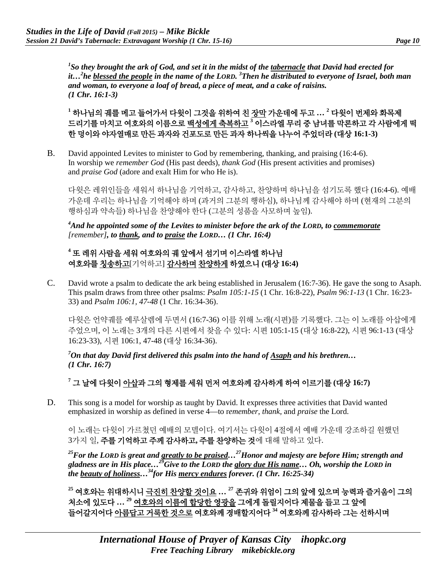*1 So they brought the ark of God, and set it in the midst of the tabernacle that David had erected for it…2 he blessed the people in the name of the LORD. 3 Then he distributed to everyone of Israel, both man and woman, to everyone a loaf of bread, a piece of meat, and a cake of raisins. (1 Chr. 16:1-3)*

**<sup>1</sup>** 하나님의 궤를 메고 들어가서 다윗이 그것을 위하여 친 장막 가운데에 두고 **… <sup>2</sup>** 다윗이 번제와 화목제 드리기를 마치고 여호와의 이름으로 백성에게 축복하고 **<sup>3</sup>** 이스라엘 무리 중 남녀를 막론하고 각 사람에게 떡 한 덩이와 야자열매로 만든 과자와 건포도로 만든 과자 하나씩을 나누어 주었더라 **(**대상 **16:1-3)**

B. David appointed Levites to minister to God by remembering, thanking, and praising (16:4-6). In worship we *remember God* (His past deeds), *thank God* (His present activities and promises) and *praise God* (adore and exalt Him for who He is).

다윗은 레위인들을 세워서 하나님을 기억하고, 감사하고, 찬양하며 하나님을 섬기도록 했다 (16:4-6). 예배 가운데 우리는 하나님을 기억해야 하며 (과거의 그분의 행하심), 하나님께 감사해야 하며 (현재의 그분의 행하심과 약속들) 하나님을 찬양해야 한다 (그분의 성품을 사모하며 높임).

*4 And he appointed some of the Levites to minister before the ark of the LORD, to commemorate [remember], to thank, and to praise the LORD… (1 Chr. 16:4)*

### **<sup>4</sup>** 또 레위 사람을 세워 여호와의 궤 앞에서 섬기며 이스라엘 하나님 여호와를 칭송하고[기억하고] 감사하며 찬양하게 하였으니 **(**대상 **16:4)**

C. David wrote a psalm to dedicate the ark being established in Jerusalem (16:7-36). He gave the song to Asaph. This psalm draws from three other psalms: *Psalm 105:1-15* (1 Chr. 16:8-22), *Psalm 96:1-13* (1 Chr. 16:23- 33) and *Psalm 106:1, 47-48* (1 Chr. 16:34-36).

다윗은 언약궤를 예루살렘에 두면서 (16:7-36) 이를 위해 노래(시편)를 기록했다. 그는 이 노래를 아삽에게 주었으며, 이 노래는 3개의 다른 시편에서 찾을 수 있다: 시편 105:1-15 (대상 16:8-22), 시편 96:1-13 (대상 16:23-33), 시편 106:1, 47-48 (대상 16:34-36).

*7 On that day David first delivered this psalm into the hand of Asaph and his brethren… (1 Chr. 16:7)*

**<sup>7</sup>** 그 날에 다윗이 아삽과 그의 형제를 세워 먼저 여호와께 감사하게 하여 이르기를 **(**대상 **16:7)**

D. This song is a model for worship as taught by David. It expresses three activities that David wanted emphasized in worship as defined in verse 4—to r*emember*, *thank,* and *praise* the Lord.

이 노래는 다윗이 가르쳤던 예배의 모델이다. 여기서는 다윗이 4절에서 예배 가운데 강조하길 원했던 3가지 일, 주를 기억하고 주께 감사하고**,** 주를 찬양하는 것에 대해 말하고 있다.

*25For the LORD is great and greatly to be praised…27Honor and majesty are before Him; strength and gladness are in His place…29Give to the LORD the glory due His name… Oh, worship the LORD in the beauty of holiness…34for His mercy endures forever. (1 Chr. 16:25-34)*

**<sup>25</sup>** 여호와는 위대하시니 극진히 찬양할 것이요 **… 27** 존귀와 위엄이 그의 앞에 있으며 능력과 즐거움이 그의 처소에 있도다 **… 29** 여호와의 이름에 합당한 영광을 그에게 돌릴지어다 제물을 들고 그 앞에 들어갈지어다 아름답고 거룩한 것으로 여호와께 경배할지어다 **<sup>34</sup>** 여호와께 감사하라 그는 선하시며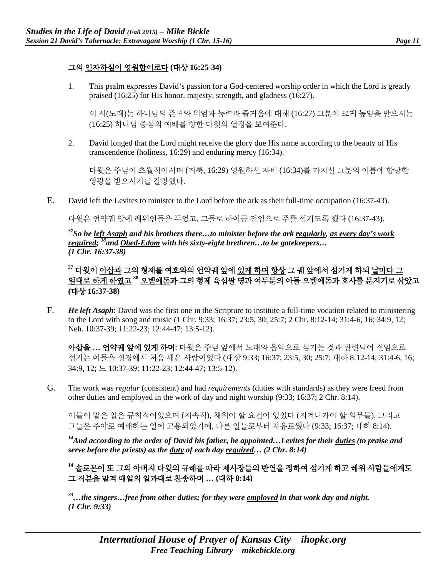#### 그의 인자하심이 영원함이로다 **(**대상 **16:25-34)**

1. This psalm expresses David's passion for a God-centered worship order in which the Lord is greatly praised (16:25) for His honor, majesty, strength, and gladness (16:27).

이 시(노래)는 하나님의 존귀와 위엄과 능력과 즐거움에 대해 (16:27) 그분이 크게 높임을 받으시는 (16:25) 하나님 중심의 예배를 향한 다윗의 열정을 보여준다.

2. David longed that the Lord might receive the glory due His name according to the beauty of His transcendence (holiness, 16:29) and enduring mercy (16:34).

다윗은 주님이 초월적이시며 (거룩, 16:29) 영원하신 자비 (16:34)를 가지신 그분의 이름에 합당한 영광을 받으시기를 갈망했다.

E. David left the Levites to minister to the Lord before the ark as their full-time occupation (16:37-43).

다윗은 언약궤 앞에 레위인들을 두었고, 그들로 하여금 전임으로 주를 섬기도록 했다 (16:37-43).

*37So he left Asaph and his brothers there…to minister before the ark regularly, as every day's work required; 38and Obed-Edom with his sixty-eight brethren…to be gatekeepers… (1 Chr. 16:37-38)*

**<sup>37</sup>** 다윗이 아삽과 그의 형제를 여호와의 언약궤 앞에 있게 하며 항상 그 궤 앞에서 섬기게 하되 날마다 그 일대로 하게 하였고 **<sup>38</sup>** 오벧에돔과 그의 형제 육십팔 명과 여두둔의 아들 오벧에돔과 호사를 문지기로 삼았고 **(**대상 **16:37-38)**

F. *He left Asaph*: David was the first one in the Scripture to institute a full-time vocation related to ministering to the Lord with song and music (1 Chr. 9:33; 16:37; 23:5, 30; 25:7; 2 Chr. 8:12-14; 31:4-6, 16; 34:9, 12; Neh. 10:37-39; 11:22-23; 12:44-47; 13:5-12).

아삽을 **…** 언약궤 앞에 있게 하며: 다윗은 주님 앞에서 노래와 음악으로 섬기는 것과 관련되어 전임으로 섬기는 이들을 성경에서 처음 세운 사람이었다 (대상 9:33; 16:37; 23:5, 30; 25:7; 대하 8:12-14; 31:4-6, 16; 34:9, 12; 느 10:37-39; 11:22-23; 12:44-47; 13:5-12).

G. The work was *regular* (consistent) and had *requirements* (duties with standards) as they were freed from other duties and employed in the work of day and night worship (9:33; 16:37; 2 Chr. 8:14).

이들이 맡은 일은 규칙적이었으며 (지속적), 채워야 할 요건이 있었다 (지켜나가야 할 의무들). 그리고 그들은 주야로 예배하는 일에 고용되었기에, 다른 일들로부터 자유로웠다 (9:33; 16:37; 대하 8:14).

*14And according to the order of David his father, he appointed…Levites for their duties (to praise and serve before the priests) as the duty of each day required… (2 Chr. 8:14)*

**<sup>14</sup>** 솔로몬이 또 그의 아버지 다윗의 규례를 따라 제사장들의 반열을 정하여 섬기게 하고 레위 사람들에게도 그 직분을 맡겨 매일의 일과대로 찬송하며 **… (**대하 **8:14)**

*33…the singers…free from other duties; for they were employed in that work day and night. (1 Chr. 9:33)*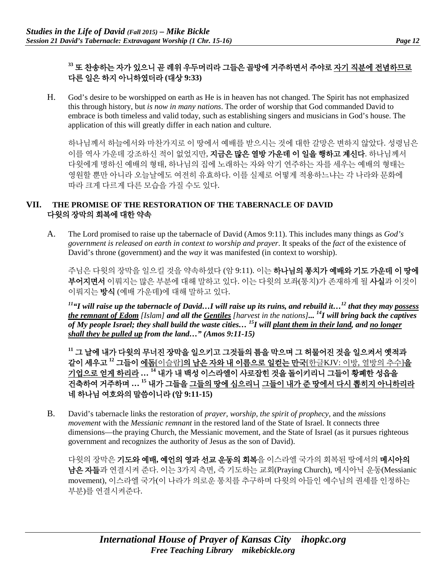## **<sup>33</sup>** 또 찬송하는 자가 있으니 곧 레위 우두머리라 그들은 골방에 거주하면서 주야로 자기 직분에 전념하므로 다른 일은 하지 아니하였더라 **(**대상 **9:33)**

H. God's desire to be worshipped on earth as He is in heaven has not changed. The Spirit has not emphasized this through history, but *is now in many nations*. The order of worship that God commanded David to embrace is both timeless and valid today, such as establishing singers and musicians in God's house. The application of this will greatly differ in each nation and culture.

하나님께서 하늘에서와 마찬가지로 이 땅에서 예배를 받으시는 것에 대한 갈망은 변하지 않았다. 성령님은 이를 역사 가운데 강조하신 적이 없었지만, **지금은 많은 열방 가운데 이 일을 행하고 계신다**. 하나님께서 다윗에게 명하신 예배의 형태, 하나님의 집에 노래하는 자와 악기 연주하는 자를 세우는 예배의 형태는 영원할 뿐만 아니라 오늘날에도 여전히 유효하다. 이를 실제로 어떻게 적용하느냐는 각 나라와 문화에 따라 크게 다르게 다른 모습을 가질 수도 있다.

#### **VII. THE PROMISE OF THE RESTORATION OF THE TABERNACLE OF DAVID** 다윗의 장막의 회복에 대한 약속

A. The Lord promised to raise up the tabernacle of David (Amos 9:11). This includes many things as *God's government is released on earth in context to worship and prayer*. It speaks of the *fact* of the existence of David's throne (government) and the *way* it was manifested (in context to worship).

주님은 다윗의 장막을 일으킬 것을 약속하셨다 (암 9:11). 이는 하나님의 통치가 예배와 기도 가운데 이 땅에 부어지면서 이뤄지는 많은 부분에 대해 말하고 있다. 이는 다윗의 보좌(통치)가 존재하게 될 사실과 이것이 이뤄지는 방식 (예배 가운데)에 대해 말하고 있다.

*11"I will raise up the tabernacle of David…I will raise up its ruins, and rebuild it…12 that they may possess the remnant of Edom [Islam] and all the Gentiles [harvest in the nations]... 14I will bring back the captives of My people Israel; they shall build the waste cities… 15I will plant them in their land, and no longer shall they be pulled up from the land…" (Amos 9:11-15)*

**<sup>11</sup>** 그 날에 내가 다윗의 무너진 장막을 일으키고 그것들의 틈을 막으며 그 허물어진 것을 일으켜서 옛적과 같이 세우고 **<sup>12</sup>** 그들이 에돔[이슬람]의 남은 자와 내 이름으로 일컫는 만국[한글KJV: 이방, 열방의 추수]을 기업으로 얻게 하리라 **… <sup>14</sup>** 내가 내 백성 이스라엘이 사로잡힌 것을 돌이키리니 그들이 황폐한 성읍을 건축하여 거주하며 **… <sup>15</sup>** 내가 그들을 그들의 땅에 심으리니 그들이 내가 준 땅에서 다시 뽑히지 아니하리라 네 하나님 여호와의 말씀이니라 **(**암 **9:11-15)**

B. David's tabernacle links the restoration of *prayer, worship, the spirit of prophecy,* and the *missions movement* with the *Messianic remnant* in the restored land of the State of Israel. It connects three dimensions—the praying Church, the Messianic movement, and the State of Israel (as it pursues righteous government and recognizes the authority of Jesus as the son of David).

다윗의 장막은 기도와 예배**,** 예언의 영과 선교 운동의 회복을 이스라엘 국가의 회복된 땅에서의 메시아의 남은 자들과 연결시켜 준다. 이는 3가지 측면, 즉 기도하는 교회(Praying Church), 메시아닉 운동(Messianic movement), 이스라엘 국가(이 나라가 의로운 통치를 추구하며 다윗의 아들인 예수님의 권세를 인정하는 부분)를 연결시켜준다.